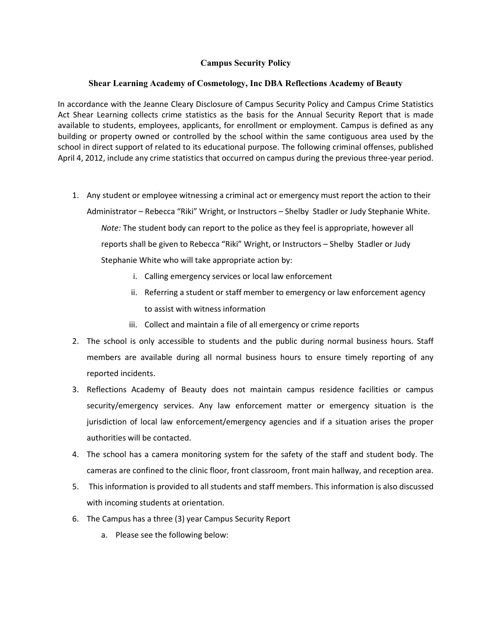## Campus Security Policy

## Shear Learning Academy of Cosmetology, Inc DBA Reflections Academy of Beauty

In accordance with the Jeanne Cleary Disclosure of Campus Security Policy and Campus Crime Statistics Act Shear Learning collects crime statistics as the basis for the Annual Security Report that is made available to students, employees, applicants, for enrollment or employment. Campus is defined as any building or property owned or controlled by the school within the same contiguous area used by the school in direct support of related to its educational purpose. The following criminal offenses, published April 4, 2012, include any crime statistics that occurred on campus during the previous three-year period.

- 1. Any student or employee witnessing a criminal act or emergency must report the action to their Administrator – Rebecca "Riki" Wright, or Instructors – Shelby Stadler or Judy Stephanie White. Note: The student body can report to the police as they feel is appropriate, however all reports shall be given to Rebecca "Riki" Wright, or Instructors – Shelby Stadler or Judy Stephanie White who will take appropriate action by:
	- i. Calling emergency services or local law enforcement
	- ii. Referring a student or staff member to emergency or law enforcement agency to assist with witness information
	- iii. Collect and maintain a file of all emergency or crime reports
- 2. The school is only accessible to students and the public during normal business hours. Staff members are available during all normal business hours to ensure timely reporting of any reported incidents.
- 3. Reflections Academy of Beauty does not maintain campus residence facilities or campus security/emergency services. Any law enforcement matter or emergency situation is the jurisdiction of local law enforcement/emergency agencies and if a situation arises the proper authorities will be contacted.
- 4. The school has a camera monitoring system for the safety of the staff and student body. The cameras are confined to the clinic floor, front classroom, front main hallway, and reception area.
- 5. This information is provided to all students and staff members. This information is also discussed with incoming students at orientation.
- 6. The Campus has a three (3) year Campus Security Report
	- a. Please see the following below: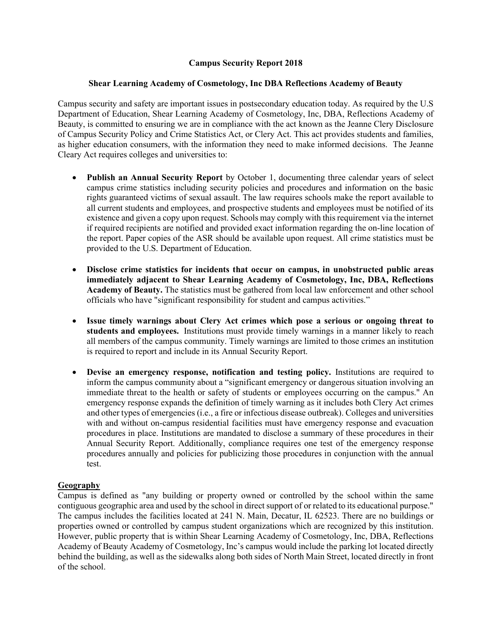## Campus Security Report 2018

## Shear Learning Academy of Cosmetology, Inc DBA Reflections Academy of Beauty

Campus security and safety are important issues in postsecondary education today. As required by the U.S Department of Education, Shear Learning Academy of Cosmetology, Inc, DBA, Reflections Academy of Beauty, is committed to ensuring we are in compliance with the act known as the Jeanne Clery Disclosure of Campus Security Policy and Crime Statistics Act, or Clery Act. This act provides students and families, as higher education consumers, with the information they need to make informed decisions. The Jeanne Cleary Act requires colleges and universities to:

- Publish an Annual Security Report by October 1, documenting three calendar years of select campus crime statistics including security policies and procedures and information on the basic rights guaranteed victims of sexual assault. The law requires schools make the report available to all current students and employees, and prospective students and employees must be notified of its existence and given a copy upon request. Schools may comply with this requirement via the internet if required recipients are notified and provided exact information regarding the on-line location of the report. Paper copies of the ASR should be available upon request. All crime statistics must be provided to the U.S. Department of Education.
- Disclose crime statistics for incidents that occur on campus, in unobstructed public areas immediately adjacent to Shear Learning Academy of Cosmetology, Inc, DBA, Reflections Academy of Beauty. The statistics must be gathered from local law enforcement and other school officials who have "significant responsibility for student and campus activities."
- Issue timely warnings about Clery Act crimes which pose a serious or ongoing threat to students and employees. Institutions must provide timely warnings in a manner likely to reach all members of the campus community. Timely warnings are limited to those crimes an institution is required to report and include in its Annual Security Report.
- Devise an emergency response, notification and testing policy. Institutions are required to inform the campus community about a "significant emergency or dangerous situation involving an immediate threat to the health or safety of students or employees occurring on the campus." An emergency response expands the definition of timely warning as it includes both Clery Act crimes and other types of emergencies (i.e., a fire or infectious disease outbreak). Colleges and universities with and without on-campus residential facilities must have emergency response and evacuation procedures in place. Institutions are mandated to disclose a summary of these procedures in their Annual Security Report. Additionally, compliance requires one test of the emergency response procedures annually and policies for publicizing those procedures in conjunction with the annual test.

## Geography

Campus is defined as "any building or property owned or controlled by the school within the same contiguous geographic area and used by the school in direct support of or related to its educational purpose." The campus includes the facilities located at 241 N. Main, Decatur, IL 62523. There are no buildings or properties owned or controlled by campus student organizations which are recognized by this institution. However, public property that is within Shear Learning Academy of Cosmetology, Inc, DBA, Reflections Academy of Beauty Academy of Cosmetology, Inc's campus would include the parking lot located directly behind the building, as well as the sidewalks along both sides of North Main Street, located directly in front of the school.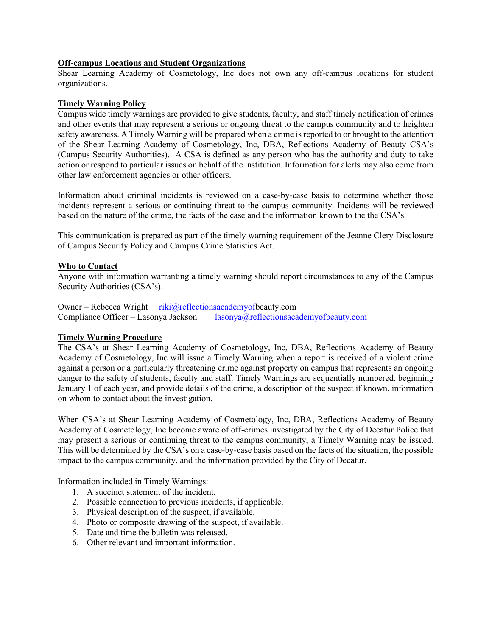## Off-campus Locations and Student Organizations

Shear Learning Academy of Cosmetology, Inc does not own any off-campus locations for student organizations.

#### Timely Warning Policy

Campus wide timely warnings are provided to give students, faculty, and staff timely notification of crimes and other events that may represent a serious or ongoing threat to the campus community and to heighten safety awareness. A Timely Warning will be prepared when a crime is reported to or brought to the attention of the Shear Learning Academy of Cosmetology, Inc, DBA, Reflections Academy of Beauty CSA's (Campus Security Authorities). A CSA is defined as any person who has the authority and duty to take action or respond to particular issues on behalf of the institution. Information for alerts may also come from other law enforcement agencies or other officers.

Information about criminal incidents is reviewed on a case-by-case basis to determine whether those incidents represent a serious or continuing threat to the campus community. Incidents will be reviewed based on the nature of the crime, the facts of the case and the information known to the the CSA's.

This communication is prepared as part of the timely warning requirement of the Jeanne Clery Disclosure of Campus Security Policy and Campus Crime Statistics Act.

#### Who to Contact

Anyone with information warranting a timely warning should report circumstances to any of the Campus Security Authorities (CSA's).

Owner – Rebecca Wright riki@reflectionsacademyofbeauty.com Compliance Officer – Lasonya Jackson lasonya@reflectionsacademyofbeauty.com

## Timely Warning Procedure

The CSA's at Shear Learning Academy of Cosmetology, Inc, DBA, Reflections Academy of Beauty Academy of Cosmetology, Inc will issue a Timely Warning when a report is received of a violent crime against a person or a particularly threatening crime against property on campus that represents an ongoing danger to the safety of students, faculty and staff. Timely Warnings are sequentially numbered, beginning January 1 of each year, and provide details of the crime, a description of the suspect if known, information on whom to contact about the investigation.

When CSA's at Shear Learning Academy of Cosmetology, Inc, DBA, Reflections Academy of Beauty Academy of Cosmetology, Inc become aware of off-crimes investigated by the City of Decatur Police that may present a serious or continuing threat to the campus community, a Timely Warning may be issued. This will be determined by the CSA's on a case-by-case basis based on the facts of the situation, the possible impact to the campus community, and the information provided by the City of Decatur.

Information included in Timely Warnings:

- 1. A succinct statement of the incident.
- 2. Possible connection to previous incidents, if applicable.
- 3. Physical description of the suspect, if available.
- 4. Photo or composite drawing of the suspect, if available.
- 5. Date and time the bulletin was released.
- 6. Other relevant and important information.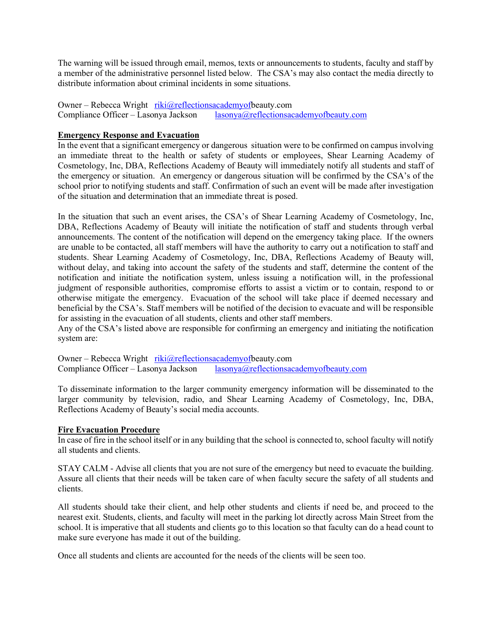The warning will be issued through email, memos, texts or announcements to students, faculty and staff by a member of the administrative personnel listed below. The CSA's may also contact the media directly to distribute information about criminal incidents in some situations.

Owner – Rebecca Wright riki@reflectionsacademyofbeauty.com Compliance Officer – Lasonya Jackson lasonya@reflectionsacademyofbeauty.com

## Emergency Response and Evacuation

In the event that a significant emergency or dangerous situation were to be confirmed on campus involving an immediate threat to the health or safety of students or employees, Shear Learning Academy of Cosmetology, Inc, DBA, Reflections Academy of Beauty will immediately notify all students and staff of the emergency or situation. An emergency or dangerous situation will be confirmed by the CSA's of the school prior to notifying students and staff. Confirmation of such an event will be made after investigation of the situation and determination that an immediate threat is posed.

In the situation that such an event arises, the CSA's of Shear Learning Academy of Cosmetology, Inc, DBA, Reflections Academy of Beauty will initiate the notification of staff and students through verbal announcements. The content of the notification will depend on the emergency taking place. If the owners are unable to be contacted, all staff members will have the authority to carry out a notification to staff and students. Shear Learning Academy of Cosmetology, Inc, DBA, Reflections Academy of Beauty will, without delay, and taking into account the safety of the students and staff, determine the content of the notification and initiate the notification system, unless issuing a notification will, in the professional judgment of responsible authorities, compromise efforts to assist a victim or to contain, respond to or otherwise mitigate the emergency. Evacuation of the school will take place if deemed necessary and beneficial by the CSA's. Staff members will be notified of the decision to evacuate and will be responsible for assisting in the evacuation of all students, clients and other staff members.

Any of the CSA's listed above are responsible for confirming an emergency and initiating the notification system are:

Owner – Rebecca Wright riki@reflectionsacademyofbeauty.com<br>Compliance Officer – Lasonya Jackson lasonya@reflectionsac  $lasonya@reflectionsacademyof beauty.com$ 

To disseminate information to the larger community emergency information will be disseminated to the larger community by television, radio, and Shear Learning Academy of Cosmetology, Inc, DBA, Reflections Academy of Beauty's social media accounts.

## Fire Evacuation Procedure

In case of fire in the school itself or in any building that the school is connected to, school faculty will notify all students and clients.

STAY CALM - Advise all clients that you are not sure of the emergency but need to evacuate the building. Assure all clients that their needs will be taken care of when faculty secure the safety of all students and clients.

All students should take their client, and help other students and clients if need be, and proceed to the nearest exit. Students, clients, and faculty will meet in the parking lot directly across Main Street from the school. It is imperative that all students and clients go to this location so that faculty can do a head count to make sure everyone has made it out of the building.

Once all students and clients are accounted for the needs of the clients will be seen too.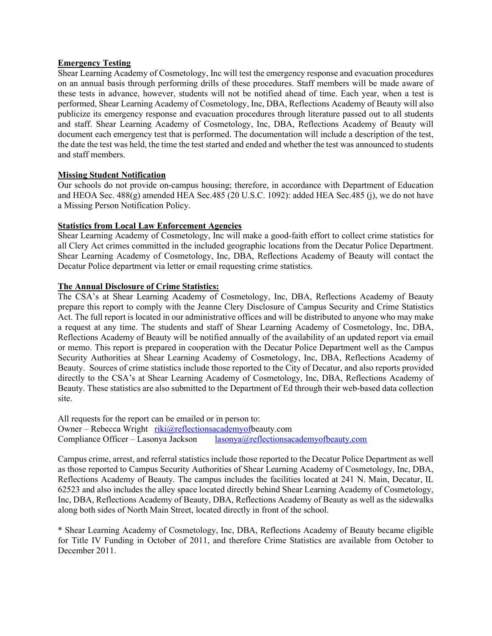#### **Emergency Testing**

Shear Learning Academy of Cosmetology, Inc will test the emergency response and evacuation procedures on an annual basis through performing drills of these procedures. Staff members will be made aware of these tests in advance, however, students will not be notified ahead of time. Each year, when a test is performed, Shear Learning Academy of Cosmetology, Inc, DBA, Reflections Academy of Beauty will also publicize its emergency response and evacuation procedures through literature passed out to all students and staff. Shear Learning Academy of Cosmetology, Inc, DBA, Reflections Academy of Beauty will document each emergency test that is performed. The documentation will include a description of the test, the date the test was held, the time the test started and ended and whether the test was announced to students and staff members.

## Missing Student Notification

Our schools do not provide on-campus housing; therefore, in accordance with Department of Education and HEOA Sec. 488(g) amended HEA Sec.485 (20 U.S.C. 1092): added HEA Sec.485 (j), we do not have a Missing Person Notification Policy.

# Statistics from Local Law Enforcement Agencies

Shear Learning Academy of Cosmetology, Inc will make a good-faith effort to collect crime statistics for all Clery Act crimes committed in the included geographic locations from the Decatur Police Department. Shear Learning Academy of Cosmetology, Inc, DBA, Reflections Academy of Beauty will contact the Decatur Police department via letter or email requesting crime statistics.

## The Annual Disclosure of Crime Statistics:

The CSA's at Shear Learning Academy of Cosmetology, Inc, DBA, Reflections Academy of Beauty prepare this report to comply with the Jeanne Clery Disclosure of Campus Security and Crime Statistics Act. The full report is located in our administrative offices and will be distributed to anyone who may make a request at any time. The students and staff of Shear Learning Academy of Cosmetology, Inc, DBA, Reflections Academy of Beauty will be notified annually of the availability of an updated report via email or memo. This report is prepared in cooperation with the Decatur Police Department well as the Campus Security Authorities at Shear Learning Academy of Cosmetology, Inc, DBA, Reflections Academy of Beauty. Sources of crime statistics include those reported to the City of Decatur, and also reports provided directly to the CSA's at Shear Learning Academy of Cosmetology, Inc, DBA, Reflections Academy of Beauty. These statistics are also submitted to the Department of Ed through their web-based data collection site.

All requests for the report can be emailed or in person to: Owner – Rebecca Wright riki@reflectionsacademyofbeauty.com Compliance Officer – Lasonya Jackson lasonya@reflectionsacademyofbeauty.com

Campus crime, arrest, and referral statistics include those reported to the Decatur Police Department as well as those reported to Campus Security Authorities of Shear Learning Academy of Cosmetology, Inc, DBA, Reflections Academy of Beauty. The campus includes the facilities located at 241 N. Main, Decatur, IL 62523 and also includes the alley space located directly behind Shear Learning Academy of Cosmetology, Inc, DBA, Reflections Academy of Beauty, DBA, Reflections Academy of Beauty as well as the sidewalks along both sides of North Main Street, located directly in front of the school.

\* Shear Learning Academy of Cosmetology, Inc, DBA, Reflections Academy of Beauty became eligible for Title IV Funding in October of 2011, and therefore Crime Statistics are available from October to December 2011.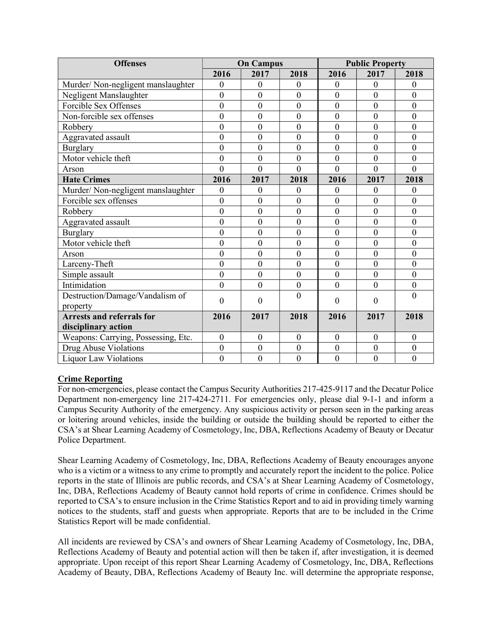| <b>Offenses</b>                     | <b>On Campus</b> |                  |                  | <b>Public Property</b> |                  |                  |
|-------------------------------------|------------------|------------------|------------------|------------------------|------------------|------------------|
|                                     | 2016             | 2017             | 2018             | 2016                   | 2017             | 2018             |
| Murder/Non-negligent manslaughter   | $\mathbf{0}$     | $\mathbf{0}$     | $\theta$         | $\Omega$               | $\mathbf{0}$     | $\Omega$         |
| Negligent Manslaughter              | $\mathbf{0}$     | $\boldsymbol{0}$ | $\boldsymbol{0}$ | $\boldsymbol{0}$       | $\theta$         | $\theta$         |
| Forcible Sex Offenses               | $\boldsymbol{0}$ | $\mathbf{0}$     | $\boldsymbol{0}$ | $\mathbf{0}$           | $\overline{0}$   | $\overline{0}$   |
| Non-forcible sex offenses           | $\overline{0}$   | $\overline{0}$   | $\overline{0}$   | $\overline{0}$         | $\overline{0}$   | $\overline{0}$   |
| Robbery                             | $\overline{0}$   | $\overline{0}$   | $\overline{0}$   | $\overline{0}$         | $\overline{0}$   | $\theta$         |
| Aggravated assault                  | $\overline{0}$   | $\mathbf{0}$     | $\boldsymbol{0}$ | $\overline{0}$         | $\overline{0}$   | $\mathbf{0}$     |
| <b>Burglary</b>                     | $\mathbf{0}$     | $\overline{0}$   | $\mathbf{0}$     | $\overline{0}$         | $\overline{0}$   | $\overline{0}$   |
| Motor vehicle theft                 | $\boldsymbol{0}$ | $\overline{0}$   | $\boldsymbol{0}$ | $\overline{0}$         | $\overline{0}$   | $\theta$         |
| Arson                               | $\mathbf{0}$     | $\overline{0}$   | $\theta$         | $\overline{0}$         | $\theta$         | $\Omega$         |
| <b>Hate Crimes</b>                  | 2016             | 2017             | 2018             | 2016                   | 2017             | 2018             |
| Murder/Non-negligent manslaughter   | $\boldsymbol{0}$ | $\mathbf{0}$     | $\mathbf{0}$     | $\overline{0}$         | $\mathbf{0}$     | $\theta$         |
| Forcible sex offenses               | $\overline{0}$   | $\mathbf{0}$     | $\mathbf{0}$     | $\overline{0}$         | $\mathbf{0}$     | $\Omega$         |
| Robbery                             | $\overline{0}$   | $\overline{0}$   | $\boldsymbol{0}$ | $\overline{0}$         | $\overline{0}$   | $\theta$         |
| Aggravated assault                  | $\boldsymbol{0}$ | $\mathbf{0}$     | $\boldsymbol{0}$ | $\mathbf{0}$           | $\boldsymbol{0}$ | $\overline{0}$   |
| <b>Burglary</b>                     | $\boldsymbol{0}$ | $\mathbf{0}$     | $\boldsymbol{0}$ | $\mathbf{0}$           | $\boldsymbol{0}$ | $\overline{0}$   |
| Motor vehicle theft                 | $\mathbf{0}$     | $\overline{0}$   | $\boldsymbol{0}$ | $\overline{0}$         | $\overline{0}$   | $\theta$         |
| Arson                               | $\mathbf{0}$     | $\mathbf{0}$     | $\boldsymbol{0}$ | $\overline{0}$         | $\boldsymbol{0}$ | $\mathbf{0}$     |
| Larceny-Theft                       | $\boldsymbol{0}$ | $\boldsymbol{0}$ | $\boldsymbol{0}$ | $\boldsymbol{0}$       | $\boldsymbol{0}$ | $\overline{0}$   |
| Simple assault                      | $\mathbf{0}$     | $\mathbf{0}$     | $\boldsymbol{0}$ | $\overline{0}$         | $\overline{0}$   | $\theta$         |
| Intimidation                        | $\overline{0}$   | $\overline{0}$   | $\boldsymbol{0}$ | $\overline{0}$         | $\overline{0}$   | $\overline{0}$   |
| Destruction/Damage/Vandalism of     | $\theta$         | $\overline{0}$   | $\theta$         | $\overline{0}$         | $\theta$         | $\Omega$         |
| property                            |                  |                  |                  |                        |                  |                  |
| <b>Arrests and referrals for</b>    | 2016             | 2017             | 2018             | 2016                   | 2017             | 2018             |
| disciplinary action                 |                  |                  |                  |                        |                  |                  |
| Weapons: Carrying, Possessing, Etc. | $\boldsymbol{0}$ | $\boldsymbol{0}$ | $\boldsymbol{0}$ | $\boldsymbol{0}$       | $\mathbf{0}$     | $\mathbf{0}$     |
| Drug Abuse Violations               | $\overline{0}$   | $\mathbf{0}$     | $\boldsymbol{0}$ | $\mathbf{0}$           | $\overline{0}$   | $\mathbf{0}$     |
| <b>Liquor Law Violations</b>        | $\boldsymbol{0}$ | $\mathbf{0}$     | $\boldsymbol{0}$ | $\mathbf{0}$           | $\boldsymbol{0}$ | $\boldsymbol{0}$ |

# Crime Reporting

For non-emergencies, please contact the Campus Security Authorities 217-425-9117 and the Decatur Police Department non-emergency line 217-424-2711. For emergencies only, please dial 9-1-1 and inform a Campus Security Authority of the emergency. Any suspicious activity or person seen in the parking areas or loitering around vehicles, inside the building or outside the building should be reported to either the CSA's at Shear Learning Academy of Cosmetology, Inc, DBA, Reflections Academy of Beauty or Decatur Police Department.

Shear Learning Academy of Cosmetology, Inc, DBA, Reflections Academy of Beauty encourages anyone who is a victim or a witness to any crime to promptly and accurately report the incident to the police. Police reports in the state of Illinois are public records, and CSA's at Shear Learning Academy of Cosmetology, Inc, DBA, Reflections Academy of Beauty cannot hold reports of crime in confidence. Crimes should be reported to CSA's to ensure inclusion in the Crime Statistics Report and to aid in providing timely warning notices to the students, staff and guests when appropriate. Reports that are to be included in the Crime Statistics Report will be made confidential.

All incidents are reviewed by CSA's and owners of Shear Learning Academy of Cosmetology, Inc, DBA, Reflections Academy of Beauty and potential action will then be taken if, after investigation, it is deemed appropriate. Upon receipt of this report Shear Learning Academy of Cosmetology, Inc, DBA, Reflections Academy of Beauty, DBA, Reflections Academy of Beauty Inc. will determine the appropriate response,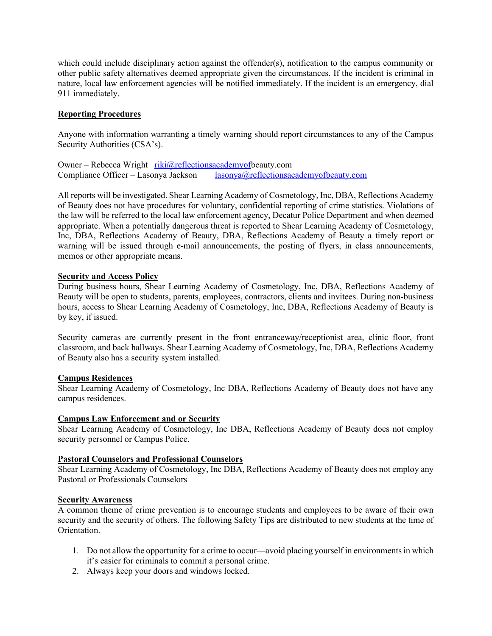which could include disciplinary action against the offender(s), notification to the campus community or other public safety alternatives deemed appropriate given the circumstances. If the incident is criminal in nature, local law enforcement agencies will be notified immediately. If the incident is an emergency, dial 911 immediately.

## Reporting Procedures

Anyone with information warranting a timely warning should report circumstances to any of the Campus Security Authorities (CSA's).

Owner – Rebecca Wright riki@reflectionsacademyofbeauty.com Compliance Officer – Lasonya Jackson lasonya@reflectionsacademyofbeauty.com

All reports will be investigated. Shear Learning Academy of Cosmetology, Inc, DBA, Reflections Academy of Beauty does not have procedures for voluntary, confidential reporting of crime statistics. Violations of the law will be referred to the local law enforcement agency, Decatur Police Department and when deemed appropriate. When a potentially dangerous threat is reported to Shear Learning Academy of Cosmetology, Inc, DBA, Reflections Academy of Beauty, DBA, Reflections Academy of Beauty a timely report or warning will be issued through e-mail announcements, the posting of flyers, in class announcements, memos or other appropriate means.

## Security and Access Policy

During business hours, Shear Learning Academy of Cosmetology, Inc, DBA, Reflections Academy of Beauty will be open to students, parents, employees, contractors, clients and invitees. During non-business hours, access to Shear Learning Academy of Cosmetology, Inc, DBA, Reflections Academy of Beauty is by key, if issued.

Security cameras are currently present in the front entranceway/receptionist area, clinic floor, front classroom, and back hallways. Shear Learning Academy of Cosmetology, Inc, DBA, Reflections Academy of Beauty also has a security system installed.

## Campus Residences

Shear Learning Academy of Cosmetology, Inc DBA, Reflections Academy of Beauty does not have any campus residences.

## Campus Law Enforcement and or Security

Shear Learning Academy of Cosmetology, Inc DBA, Reflections Academy of Beauty does not employ security personnel or Campus Police.

## Pastoral Counselors and Professional Counselors

Shear Learning Academy of Cosmetology, Inc DBA, Reflections Academy of Beauty does not employ any Pastoral or Professionals Counselors

## Security Awareness

A common theme of crime prevention is to encourage students and employees to be aware of their own security and the security of others. The following Safety Tips are distributed to new students at the time of Orientation.

- 1. Do not allow the opportunity for a crime to occur—avoid placing yourself in environments in which it's easier for criminals to commit a personal crime.
- 2. Always keep your doors and windows locked.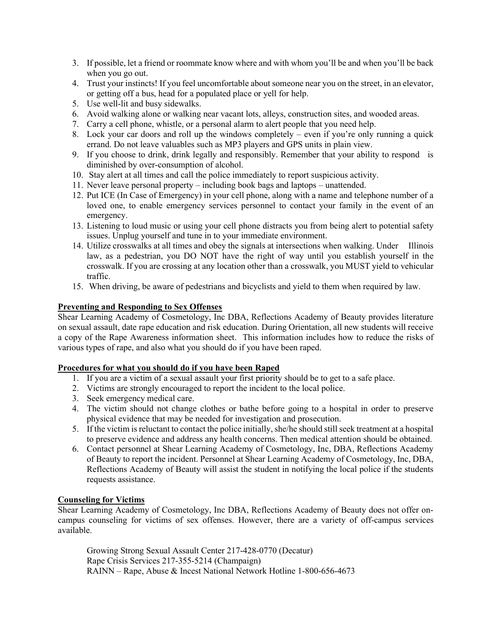- 3. If possible, let a friend or roommate know where and with whom you'll be and when you'll be back when you go out.
- 4. Trust your instincts! If you feel uncomfortable about someone near you on the street, in an elevator, or getting off a bus, head for a populated place or yell for help.
- 5. Use well-lit and busy sidewalks.
- 6. Avoid walking alone or walking near vacant lots, alleys, construction sites, and wooded areas.
- 7. Carry a cell phone, whistle, or a personal alarm to alert people that you need help.
- 8. Lock your car doors and roll up the windows completely even if you're only running a quick errand. Do not leave valuables such as MP3 players and GPS units in plain view.
- 9. If you choose to drink, drink legally and responsibly. Remember that your ability to respond is diminished by over-consumption of alcohol.
- 10. Stay alert at all times and call the police immediately to report suspicious activity.
- 11. Never leave personal property including book bags and laptops unattended.
- 12. Put ICE (In Case of Emergency) in your cell phone, along with a name and telephone number of a loved one, to enable emergency services personnel to contact your family in the event of an emergency.
- 13. Listening to loud music or using your cell phone distracts you from being alert to potential safety issues. Unplug yourself and tune in to your immediate environment.
- 14. Utilize crosswalks at all times and obey the signals at intersections when walking. Under Illinois law, as a pedestrian, you DO NOT have the right of way until you establish yourself in the crosswalk. If you are crossing at any location other than a crosswalk, you MUST yield to vehicular traffic.
- 15. When driving, be aware of pedestrians and bicyclists and yield to them when required by law.

## Preventing and Responding to Sex Offenses

Shear Learning Academy of Cosmetology, Inc DBA, Reflections Academy of Beauty provides literature on sexual assault, date rape education and risk education. During Orientation, all new students will receive a copy of the Rape Awareness information sheet. This information includes how to reduce the risks of various types of rape, and also what you should do if you have been raped.

## Procedures for what you should do if you have been Raped

- 1. If you are a victim of a sexual assault your first priority should be to get to a safe place.
- 2. Victims are strongly encouraged to report the incident to the local police.
- 3. Seek emergency medical care.
- 4. The victim should not change clothes or bathe before going to a hospital in order to preserve physical evidence that may be needed for investigation and prosecution.
- 5. If the victim is reluctant to contact the police initially, she/he should still seek treatment at a hospital to preserve evidence and address any health concerns. Then medical attention should be obtained.
- 6. Contact personnel at Shear Learning Academy of Cosmetology, Inc, DBA, Reflections Academy of Beauty to report the incident. Personnel at Shear Learning Academy of Cosmetology, Inc, DBA, Reflections Academy of Beauty will assist the student in notifying the local police if the students requests assistance.

## Counseling for Victims

Shear Learning Academy of Cosmetology, Inc DBA, Reflections Academy of Beauty does not offer oncampus counseling for victims of sex offenses. However, there are a variety of off-campus services available.

 Growing Strong Sexual Assault Center 217-428-0770 (Decatur) Rape Crisis Services 217-355-5214 (Champaign) RAINN – Rape, Abuse & Incest National Network Hotline 1-800-656-4673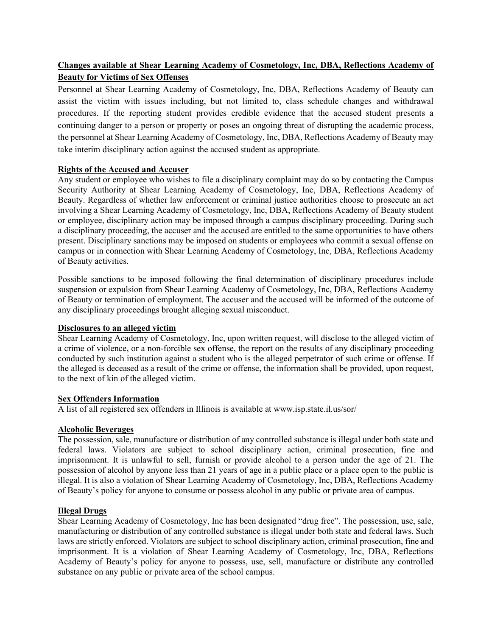# Changes available at Shear Learning Academy of Cosmetology, Inc, DBA, Reflections Academy of Beauty for Victims of Sex Offenses

Personnel at Shear Learning Academy of Cosmetology, Inc, DBA, Reflections Academy of Beauty can assist the victim with issues including, but not limited to, class schedule changes and withdrawal procedures. If the reporting student provides credible evidence that the accused student presents a continuing danger to a person or property or poses an ongoing threat of disrupting the academic process, the personnel at Shear Learning Academy of Cosmetology, Inc, DBA, Reflections Academy of Beauty may take interim disciplinary action against the accused student as appropriate.

## Rights of the Accused and Accuser

Any student or employee who wishes to file a disciplinary complaint may do so by contacting the Campus Security Authority at Shear Learning Academy of Cosmetology, Inc, DBA, Reflections Academy of Beauty. Regardless of whether law enforcement or criminal justice authorities choose to prosecute an act involving a Shear Learning Academy of Cosmetology, Inc, DBA, Reflections Academy of Beauty student or employee, disciplinary action may be imposed through a campus disciplinary proceeding. During such a disciplinary proceeding, the accuser and the accused are entitled to the same opportunities to have others present. Disciplinary sanctions may be imposed on students or employees who commit a sexual offense on campus or in connection with Shear Learning Academy of Cosmetology, Inc, DBA, Reflections Academy of Beauty activities.

Possible sanctions to be imposed following the final determination of disciplinary procedures include suspension or expulsion from Shear Learning Academy of Cosmetology, Inc, DBA, Reflections Academy of Beauty or termination of employment. The accuser and the accused will be informed of the outcome of any disciplinary proceedings brought alleging sexual misconduct.

## Disclosures to an alleged victim

Shear Learning Academy of Cosmetology, Inc, upon written request, will disclose to the alleged victim of a crime of violence, or a non-forcible sex offense, the report on the results of any disciplinary proceeding conducted by such institution against a student who is the alleged perpetrator of such crime or offense. If the alleged is deceased as a result of the crime or offense, the information shall be provided, upon request, to the next of kin of the alleged victim.

## Sex Offenders Information

A list of all registered sex offenders in Illinois is available at www.isp.state.il.us/sor/

## Alcoholic Beverages

The possession, sale, manufacture or distribution of any controlled substance is illegal under both state and federal laws. Violators are subject to school disciplinary action, criminal prosecution, fine and imprisonment. It is unlawful to sell, furnish or provide alcohol to a person under the age of 21. The possession of alcohol by anyone less than 21 years of age in a public place or a place open to the public is illegal. It is also a violation of Shear Learning Academy of Cosmetology, Inc, DBA, Reflections Academy of Beauty's policy for anyone to consume or possess alcohol in any public or private area of campus.

## Illegal Drugs

Shear Learning Academy of Cosmetology, Inc has been designated "drug free". The possession, use, sale, manufacturing or distribution of any controlled substance is illegal under both state and federal laws. Such laws are strictly enforced. Violators are subject to school disciplinary action, criminal prosecution, fine and imprisonment. It is a violation of Shear Learning Academy of Cosmetology, Inc, DBA, Reflections Academy of Beauty's policy for anyone to possess, use, sell, manufacture or distribute any controlled substance on any public or private area of the school campus.